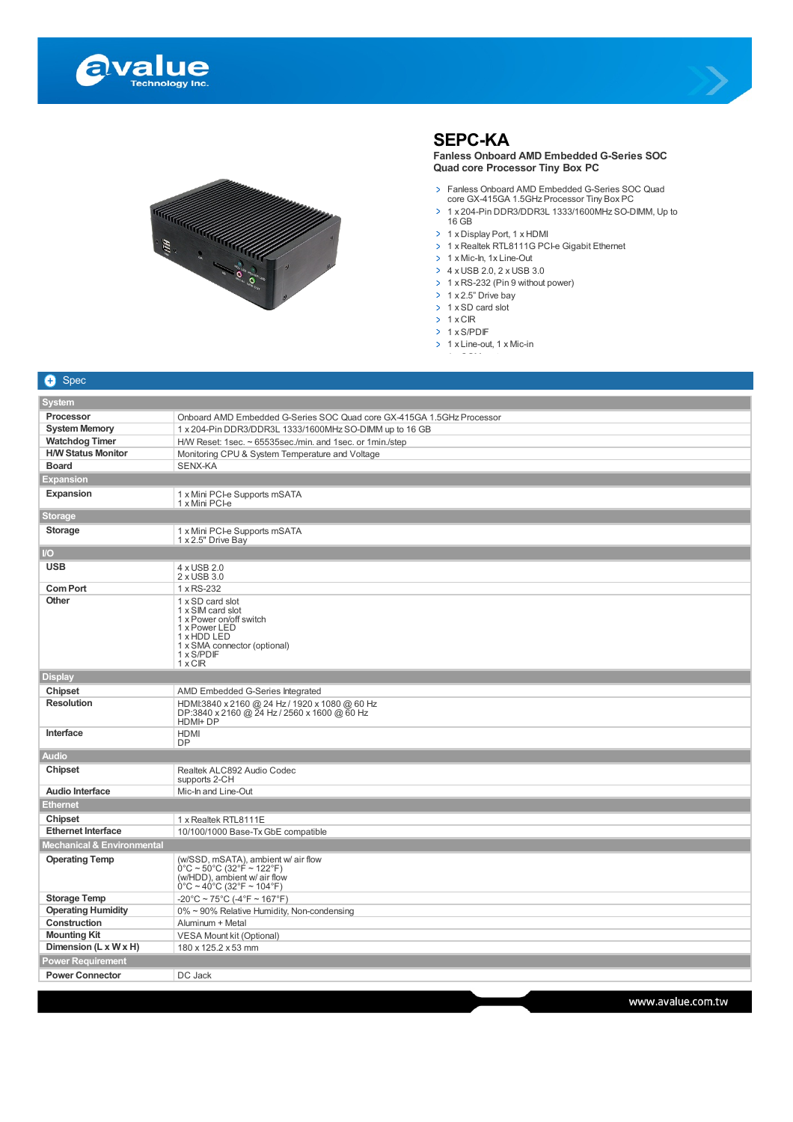





## **SEPC-KA**

**Fanless Onboard AMD Embedded G-Series SOC Quad core Processor Tiny Box PC**

- Fanless Onboard AMD Embedded G-Series SOC Quad core GX-415GA 1.5GHz Processor Tiny Box PC
- 1 x 204-Pin DDR3/DDR3L 1333/1600MHz SO-DIMM, Up to 16 GB
- > 1 x Display Port, 1 x HDMI
- > 1 x Realtek RTL8111G PCI-e Gigabit Ethernet
- $\geq 1$  x Mic-In, 1x Line-Out
- $\rightarrow$  4 x USB 2.0, 2 x USB 3.0
- > 1 x RS-232 (Pin 9 without power)
- $\geq 1$  x 2.5" Drive bay
- $\rightarrow$  1 x SD card slot
- $\rightarrow$  1 x CIR
- $\rightarrow$  1 x S/PDIF
- $\geq 1$  x Line-out, 1 x Mic-in 1 x COM port

| <b>O</b> Spec                                |                                                                                                                                                                                    |  |
|----------------------------------------------|------------------------------------------------------------------------------------------------------------------------------------------------------------------------------------|--|
| <b>System</b>                                |                                                                                                                                                                                    |  |
| <b>Processor</b>                             | Onboard AMD Embedded G-Series SOC Quad core GX-415GA 1.5GHz Processor                                                                                                              |  |
| <b>System Memory</b>                         | 1 x 204-Pin DDR3/DDR3L 1333/1600MHz SO-DIMM up to 16 GB                                                                                                                            |  |
| <b>Watchdog Timer</b>                        | H/W Reset: $1$ sec. $\sim$ 65535sec./min. and $1$ sec. or $1$ min./step                                                                                                            |  |
| <b>H/W Status Monitor</b>                    | Monitoring CPU & System Temperature and Voltage                                                                                                                                    |  |
| <b>Board</b>                                 | SENX-KA                                                                                                                                                                            |  |
| <b>Expansion</b>                             |                                                                                                                                                                                    |  |
| Expansion                                    | 1 x Mini PCI-e Supports mSATA<br>1 x Mini PCI-e                                                                                                                                    |  |
| Storage                                      |                                                                                                                                                                                    |  |
| <b>Storage</b>                               | 1 x Mini PCI-e Supports mSATA<br>1 x 2.5" Drive Bay                                                                                                                                |  |
| $\overline{U}$                               |                                                                                                                                                                                    |  |
| <b>USB</b>                                   | 4 x USB 2.0                                                                                                                                                                        |  |
|                                              | 2 x USB 3.0                                                                                                                                                                        |  |
| <b>Com Port</b>                              | 1 x RS-232                                                                                                                                                                         |  |
| <b>Other</b>                                 | 1 x SD card slot<br>1 x SIM card slot<br>1 x Power on/off switch<br>1 x Power LED<br>1 x HDD LED<br>1 x SMA connector (optional)<br>1 x S/PDIF<br>1xCR                             |  |
| <b>Display</b>                               |                                                                                                                                                                                    |  |
| Chipset                                      | AMD Embedded G-Series Integrated                                                                                                                                                   |  |
| <b>Resolution</b>                            | HDMI:3840 x 2160 @ 24 Hz / 1920 x 1080 @ 60 Hz<br>DP:3840 x 2160 @ 24 Hz / 2560 x 1600 @ 60 Hz<br>HDMI+DP                                                                          |  |
| Interface                                    | <b>HDMI</b><br><b>DP</b>                                                                                                                                                           |  |
| <b>Audio</b>                                 |                                                                                                                                                                                    |  |
| Chipset                                      | Realtek ALC892 Audio Codec<br>supports 2-CH                                                                                                                                        |  |
| <b>Audio Interface</b>                       | Mic-In and Line-Out                                                                                                                                                                |  |
| <b>Ethernet</b>                              |                                                                                                                                                                                    |  |
| Chipset                                      | 1 x Realtek RTL8111E                                                                                                                                                               |  |
| <b>Ethernet Interface</b>                    | 10/100/1000 Base-Tx GbE compatible                                                                                                                                                 |  |
| Mechanical & Environmental                   |                                                                                                                                                                                    |  |
| <b>Operating Temp</b>                        | (w/SSD, mSATA), ambient w/ air flow<br>$0^{\circ}$ C ~ 50 $^{\circ}$ C (32 $^{\circ}$ F ~ 122 $^{\circ}$ F)<br>(w/HDD), ambient w/ air flow<br>$0^{\circ}$ C ~ 40°C (32°F ~ 104°F) |  |
| <b>Storage Temp</b>                          | $-20^{\circ}$ C ~ 75 $^{\circ}$ C (-4 $^{\circ}$ F ~ 167 $^{\circ}$ F)                                                                                                             |  |
| <b>Operating Humidity</b>                    | 0% ~ 90% Relative Humidity, Non-condensing                                                                                                                                         |  |
| Construction                                 | Aluminum + Metal                                                                                                                                                                   |  |
| <b>Mounting Kit</b>                          | VESA Mount kit (Optional)                                                                                                                                                          |  |
| Dimension (L x W x H)<br>180 x 125.2 x 53 mm |                                                                                                                                                                                    |  |
| <b>Power Requirement</b>                     |                                                                                                                                                                                    |  |
| <b>Power Connector</b>                       | DC Jack                                                                                                                                                                            |  |
|                                              |                                                                                                                                                                                    |  |

www.avalue.com.tw